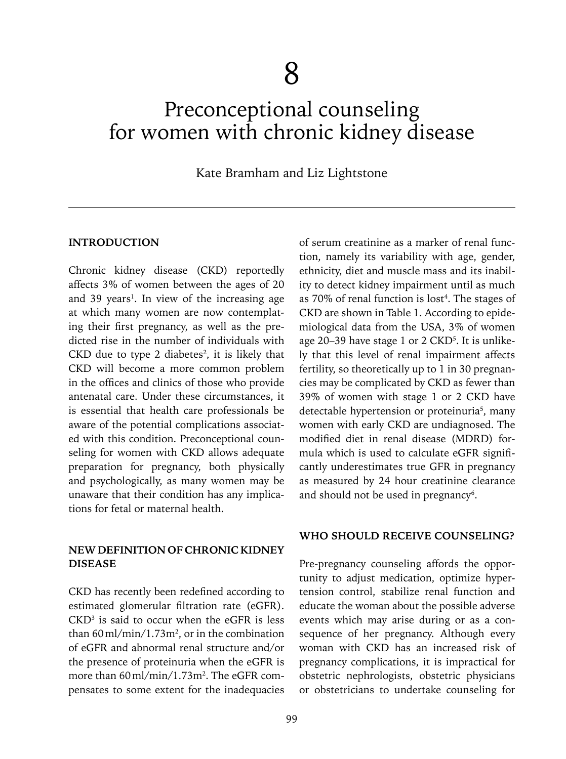# Preconceptional counseling for women with chronic kidney disease

## Kate Bramham and Liz Lightstone

#### **INTRODUCTION**

Chronic kidney disease (CKD) reportedly affects 3% of women between the ages of 20 and 39 years<sup>1</sup>. In view of the increasing age at which many women are now contemplating their first pregnancy, as well as the predicted rise in the number of individuals with CKD due to type 2 diabetes<sup>2</sup>, it is likely that CKD will become a more common problem in the offices and clinics of those who provide antenatal care. Under these circumstances, it is essential that health care professionals be aware of the potential complications associated with this condition. Preconceptional counseling for women with CKD allows adequate preparation for pregnancy, both physically and psychologically, as many women may be unaware that their condition has any implications for fetal or maternal health.

## **NEW DEFINITION OF CHRONIC KIDNEY DISEASE**

CKD has recently been redefined according to estimated glomerular filtration rate (eGFR).  $CKD<sup>3</sup>$  is said to occur when the eGFR is less than  $60 \,\mathrm{ml/min}/1.73 \,\mathrm{m}^2$ , or in the combination of eGFR and abnormal renal structure and/or the presence of proteinuria when the eGFR is more than 60 ml/min/1.73m<sup>2</sup>. The eGFR compensates to some extent for the inadequacies

of serum creatinine as a marker of renal function, namely its variability with age, gender, ethnicity, diet and muscle mass and its inability to detect kidney impairment until as much as  $70\%$  of renal function is lost<sup>4</sup>. The stages of CKD are shown in Table 1. According to epidemiological data from the USA, 3% of women age 20–39 have stage 1 or 2 CKD<sup>5</sup>. It is unlikely that this level of renal impairment affects fertility, so theoretically up to 1 in 30 pregnancies may be complicated by CKD as fewer than 39% of women with stage 1 or 2 CKD have detectable hypertension or proteinuria<sup>5</sup>, many women with early CKD are undiagnosed. The modified diet in renal disease (MDRD) formula which is used to calculate eGFR significantly underestimates true GFR in pregnancy as measured by 24 hour creatinine clearance and should not be used in pregnancy<sup>6</sup>.

#### **WHO SHOULD RECEIVE COUNSELING?**

Pre-pregnancy counseling affords the opportunity to adjust medication, optimize hypertension control, stabilize renal function and educate the woman about the possible adverse events which may arise during or as a consequence of her pregnancy. Although every woman with CKD has an increased risk of pregnancy complications, it is impractical for obstetric nephrologists, obstetric physicians or obstetricians to undertake counseling for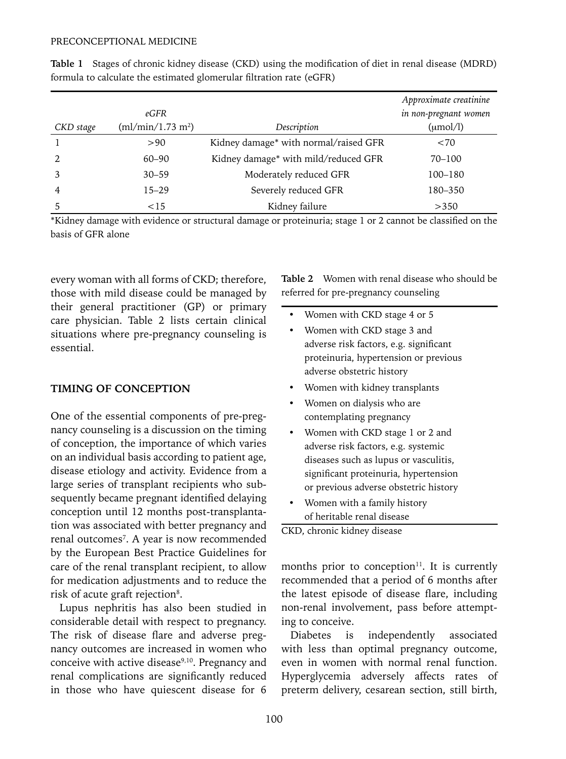|                | eGFR                          |                                       | Approximate creatinine<br>in non-pregnant women |
|----------------|-------------------------------|---------------------------------------|-------------------------------------------------|
| CKD stage      | (ml/min/1.73 m <sup>2</sup> ) | Description                           | $(\mu \text{mol/l})$                            |
|                | >90                           | Kidney damage* with normal/raised GFR | < 70                                            |
|                | $60 - 90$                     | Kidney damage* with mild/reduced GFR  | 70-100                                          |
|                | $30 - 59$                     | Moderately reduced GFR                | 100–180                                         |
| $\overline{4}$ | $15 - 29$                     | Severely reduced GFR                  | 180–350                                         |
|                | <15                           | Kidney failure                        | >350                                            |

**Table 1** Stages of chronic kidney disease (CKD) using the modification of diet in renal disease (MDRD) formula to calculate the estimated glomerular filtration rate (eGFR)

\*Kidney damage with evidence or structural damage or proteinuria; stage 1 or 2 cannot be classified on the basis of GFR alone

every woman with all forms of CKD; therefore, those with mild disease could be managed by their general practitioner (GP) or primary care physician. Table 2 lists certain clinical situations where pre-pregnancy counseling is essential.

# **TIMING OF CONCEPTION**

One of the essential components of pre-pregnancy counseling is a discussion on the timing of conception, the importance of which varies on an individual basis according to patient age, disease etiology and activity. Evidence from a large series of transplant recipients who subsequently became pregnant identified delaying conception until 12 months post-transplantation was associated with better pregnancy and renal outcomes<sup>7</sup>. A year is now recommended by the European Best Practice Guidelines for care of the renal transplant recipient, to allow for medication adjustments and to reduce the risk of acute graft rejection<sup>8</sup>.

Lupus nephritis has also been studied in considerable detail with respect to pregnancy. The risk of disease flare and adverse pregnancy outcomes are increased in women who conceive with active disease<sup>9,10</sup>. Pregnancy and renal complications are significantly reduced in those who have quiescent disease for 6 **Table 2** Women with renal disease who should be referred for pre-pregnancy counseling

- Women with CKD stage 4 or 5 • Women with CKD stage 3 and adverse risk factors, e.g. significant proteinuria, hypertension or previous adverse obstetric history
- Women with kidney transplants
- Women on dialysis who are contemplating pregnancy
- Women with CKD stage 1 or 2 and adverse risk factors, e.g. systemic diseases such as lupus or vasculitis, significant proteinuria, hypertension or previous adverse obstetric history
- Women with a family history of heritable renal disease

CKD, chronic kidney disease

months prior to conception $11$ . It is currently recommended that a period of 6 months after the latest episode of disease flare, including non-renal involvement, pass before attempting to conceive.

Diabetes is independently associated with less than optimal pregnancy outcome, even in women with normal renal function. Hyperglycemia adversely affects rates of preterm delivery, cesarean section, still birth,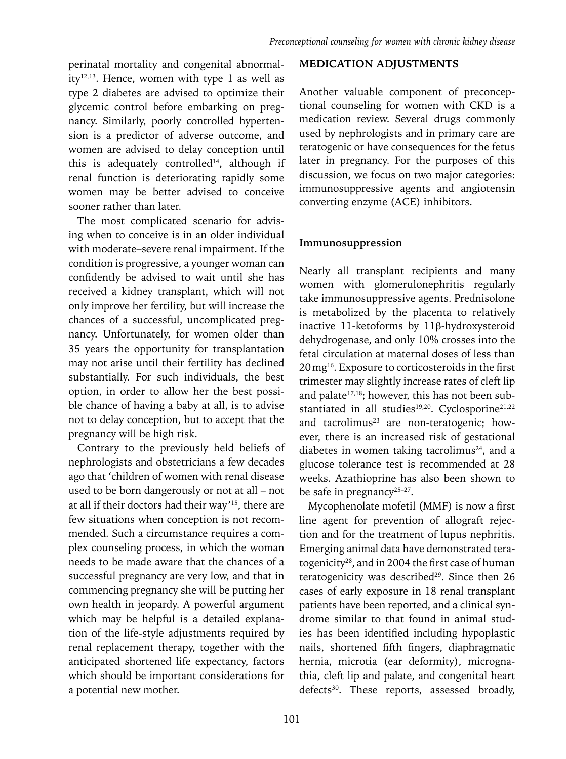perinatal mortality and congenital abnormality<sup>12,13</sup>. Hence, women with type 1 as well as type 2 diabetes are advised to optimize their glycemic control before embarking on pregnancy. Similarly, poorly controlled hypertension is a predictor of adverse outcome, and women are advised to delay conception until this is adequately controlled<sup>14</sup>, although if renal function is deteriorating rapidly some women may be better advised to conceive sooner rather than later.

The most complicated scenario for advising when to conceive is in an older individual with moderate–severe renal impairment. If the condition is progressive, a younger woman can confidently be advised to wait until she has received a kidney transplant, which will not only improve her fertility, but will increase the chances of a successful, uncomplicated pregnancy. Unfortunately, for women older than 35 years the opportunity for transplantation may not arise until their fertility has declined substantially. For such individuals, the best option, in order to allow her the best possible chance of having a baby at all, is to advise not to delay conception, but to accept that the pregnancy will be high risk.

Contrary to the previously held beliefs of nephrologists and obstetricians a few decades ago that 'children of women with renal disease used to be born dangerously or not at all – not at all if their doctors had their way'15, there are few situations when conception is not recommended. Such a circumstance requires a complex counseling process, in which the woman needs to be made aware that the chances of a successful pregnancy are very low, and that in commencing pregnancy she will be putting her own health in jeopardy. A powerful argument which may be helpful is a detailed explanation of the life-style adjustments required by renal replacement therapy, together with the anticipated shortened life expectancy, factors which should be important considerations for a potential new mother.

## **MEDICATION ADJUSTMENTS**

Another valuable component of preconceptional counseling for women with CKD is a medication review. Several drugs commonly used by nephrologists and in primary care are teratogenic or have consequences for the fetus later in pregnancy. For the purposes of this discussion, we focus on two major categories: immunosuppressive agents and angiotensin converting enzyme (ACE) inhibitors.

## **Immunosuppression**

Nearly all transplant recipients and many women with glomerulonephritis regularly take immunosuppressive agents. Prednisolone is metabolized by the placenta to relatively inactive 11-ketoforms by 11ß-hydroxysteroid dehydrogenase, and only 10% crosses into the fetal circulation at maternal doses of less than 20mg16. Exposure to corticosteroids in the first trimester may slightly increase rates of cleft lip and palate<sup>17,18</sup>; however, this has not been substantiated in all studies<sup>19,20</sup>. Cyclosporine<sup>21,22</sup> and tacrolimus<sup>23</sup> are non-teratogenic; however, there is an increased risk of gestational diabetes in women taking tacrolimus<sup>24</sup>, and a glucose tolerance test is recommended at 28 weeks. Azathioprine has also been shown to be safe in pregnancy<sup>25-27</sup>.

Mycophenolate mofetil (MMF) is now a first line agent for prevention of allograft rejection and for the treatment of lupus nephritis. Emerging animal data have demonstrated teratogenicity28, and in 2004 the first case of human teratogenicity was described $29$ . Since then 26 cases of early exposure in 18 renal transplant patients have been reported, and a clinical syndrome similar to that found in animal studies has been identified including hypoplastic nails, shortened fifth fingers, diaphragmatic hernia, microtia (ear deformity), micrognathia, cleft lip and palate, and congenital heart defects<sup>30</sup>. These reports, assessed broadly,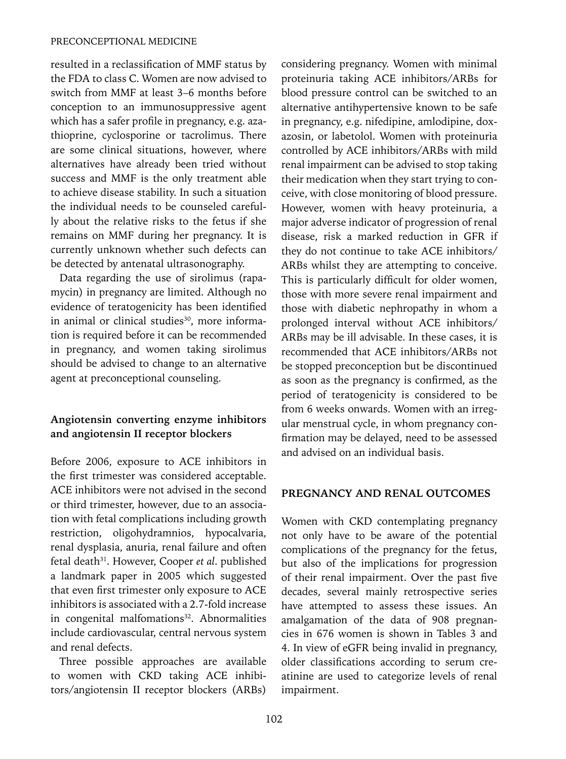resulted in a reclassification of MMF status by the FDA to class C. Women are now advised to switch from MMF at least 3–6 months before conception to an immunosuppressive agent which has a safer profile in pregnancy, e.g. azathioprine, cyclosporine or tacrolimus. There are some clinical situations, however, where alternatives have already been tried without success and MMF is the only treatment able to achieve disease stability. In such a situation the individual needs to be counseled carefully about the relative risks to the fetus if she remains on MMF during her pregnancy. It is currently unknown whether such defects can be detected by antenatal ultrasonography.

Data regarding the use of sirolimus (rapamycin) in pregnancy are limited. Although no evidence of teratogenicity has been identified in animal or clinical studies<sup>30</sup>, more information is required before it can be recommended in pregnancy, and women taking sirolimus should be advised to change to an alternative agent at preconceptional counseling.

# **Angiotensin converting enzyme inhibitors and angiotensin II receptor blockers**

Before 2006, exposure to ACE inhibitors in the first trimester was considered acceptable. ACE inhibitors were not advised in the second or third trimester, however, due to an association with fetal complications including growth restriction, oligohydramnios, hypocalvaria, renal dysplasia, anuria, renal failure and often fetal death<sup>31</sup>. However, Cooper *et al.* published a landmark paper in 2005 which suggested that even first trimester only exposure to ACE inhibitors is associated with a 2.7-fold increase in congenital malfomations<sup>32</sup>. Abnormalities include cardiovascular, central nervous system and renal defects.

Three possible approaches are available to women with CKD taking ACE inhibitors/angiotensin II receptor blockers (ARBs) considering pregnancy. Women with minimal proteinuria taking ACE inhibitors/ARBs for blood pressure control can be switched to an alternative antihypertensive known to be safe in pregnancy, e.g. nifedipine, amlodipine, doxazosin, or labetolol. Women with proteinuria controlled by ACE inhibitors/ARBs with mild renal impairment can be advised to stop taking their medication when they start trying to conceive, with close monitoring of blood pressure. However, women with heavy proteinuria, a major adverse indicator of progression of renal disease, risk a marked reduction in GFR if they do not continue to take ACE inhibitors/ ARBs whilst they are attempting to conceive. This is particularly difficult for older women, those with more severe renal impairment and those with diabetic nephropathy in whom a prolonged interval without ACE inhibitors/ ARBs may be ill advisable. In these cases, it is recommended that ACE inhibitors/ARBs not be stopped preconception but be discontinued as soon as the pregnancy is confirmed, as the period of teratogenicity is considered to be from 6 weeks onwards. Women with an irregular menstrual cycle, in whom pregnancy confirmation may be delayed, need to be assessed and advised on an individual basis.

#### **PREGNANCY AND RENAL OUTCOMES**

Women with CKD contemplating pregnancy not only have to be aware of the potential complications of the pregnancy for the fetus, but also of the implications for progression of their renal impairment. Over the past five decades, several mainly retrospective series have attempted to assess these issues. An amalgamation of the data of 908 pregnancies in 676 women is shown in Tables 3 and 4. In view of eGFR being invalid in pregnancy, older classifications according to serum creatinine are used to categorize levels of renal impairment.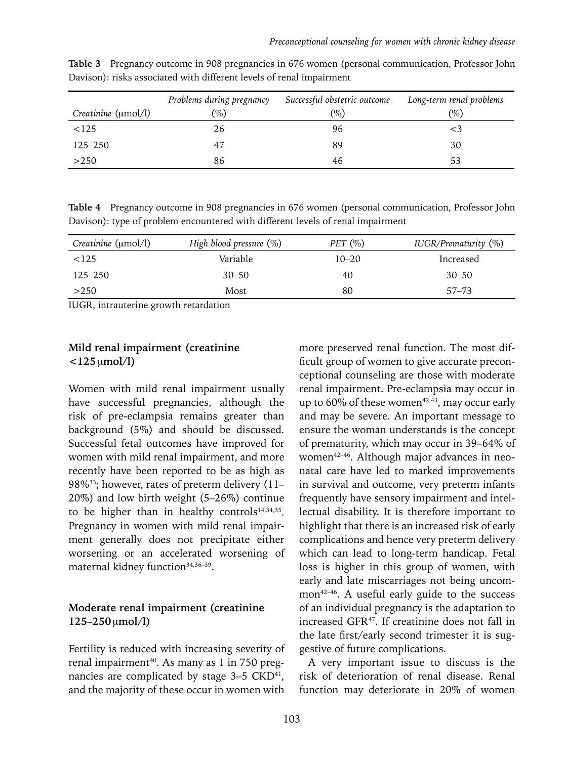|                     | Problems during pregnancy | Successful obstetric outcome | Long-term renal problems |
|---------------------|---------------------------|------------------------------|--------------------------|
| Creatinine (umol/l) | $(\%)$                    | $(\%)$                       | $(\%)$                   |
| < 125               | 26                        | 96                           |                          |
| 125–250             | 47                        | 89                           | 30                       |
| >250                | 86                        | 46                           | 53                       |

**Table 3** Pregnancy outcome in 908 pregnancies in 676 women (personal communication, Professor John Davison): risks associated with different levels of renal impairment

**Table 4** Pregnancy outcome in 908 pregnancies in 676 women (personal communication, Professor John Davison): type of problem encountered with different levels of renal impairment

| Creatinine (umol/l) | High blood pressure $(\%)$ | PET $(\%)$ | IUGR/Prematurity (%) |
|---------------------|----------------------------|------------|----------------------|
| < 125               | Variable                   | $10 - 20$  | Increased            |
| $125 - 250$         | $30 - 50$                  | 40         | $30 - 50$            |
| >250                | Most                       | 80         | $57 - 73$            |

IUGR, intrauterine growth retardation

## **Mild renal impairment (creatinine <125**µ**mol/l)**

Women with mild renal impairment usually have successful pregnancies, although the risk of pre-eclampsia remains greater than background (5%) and should be discussed. Successful fetal outcomes have improved for women with mild renal impairment, and more recently have been reported to be as high as 98%33; however, rates of preterm delivery (11– 20%) and low birth weight (5–26%) continue to be higher than in healthy controls<sup>14,34,35</sup>. Pregnancy in women with mild renal impairment generally does not precipitate either worsening or an accelerated worsening of maternal kidney function<sup>34,36-39</sup>.

## **Moderate renal impairment (creatinine 125–250**µ**mol/l)**

Fertility is reduced with increasing severity of renal impairment<sup>40</sup>. As many as 1 in 750 pregnancies are complicated by stage  $3-5$  CKD<sup>41</sup>, and the majority of these occur in women with

more preserved renal function. The most difficult group of women to give accurate preconceptional counseling are those with moderate renal impairment. Pre-eclampsia may occur in up to 60% of these women<sup>42,43</sup>, may occur early and may be severe. An important message to ensure the woman understands is the concept of prematurity, which may occur in 39–64% of women<sup>42-46</sup>. Although major advances in neonatal care have led to marked improvements in survival and outcome, very preterm infants frequently have sensory impairment and intellectual disability. It is therefore important to highlight that there is an increased risk of early complications and hence very preterm delivery which can lead to long-term handicap. Fetal loss is higher in this group of women, with early and late miscarriages not being uncommon<sup>42-46</sup>. A useful early guide to the success of an individual pregnancy is the adaptation to increased GFR47. If creatinine does not fall in the late first/early second trimester it is suggestive of future complications.

A very important issue to discuss is the risk of deterioration of renal disease. Renal function may deteriorate in 20% of women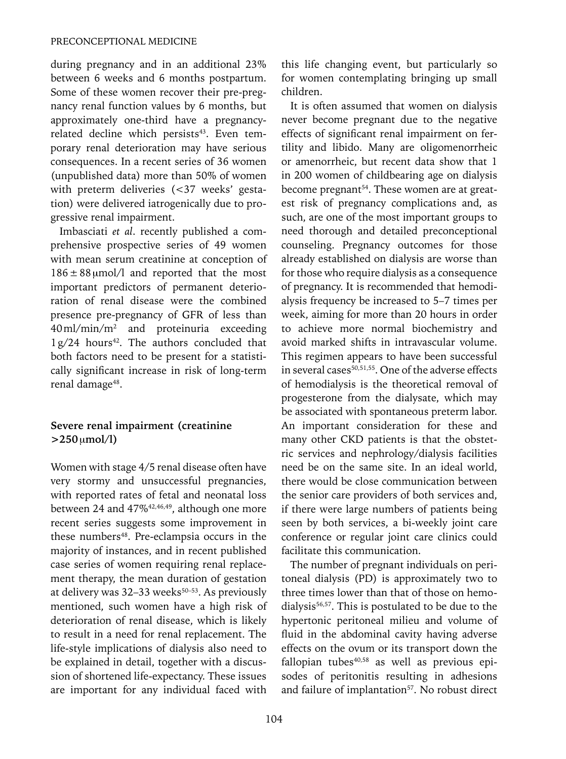during pregnancy and in an additional 23% between 6 weeks and 6 months postpartum. Some of these women recover their pre-pregnancy renal function values by 6 months, but approximately one-third have a pregnancyrelated decline which persists<sup>43</sup>. Even temporary renal deterioration may have serious consequences. In a recent series of 36 women (unpublished data) more than 50% of women with preterm deliveries (<37 weeks' gestation) were delivered iatrogenically due to progressive renal impairment.

Imbasciati *et al*. recently published a comprehensive prospective series of 49 women with mean serum creatinine at conception of  $186 \pm 88$  µmol/l and reported that the most important predictors of permanent deterioration of renal disease were the combined presence pre-pregnancy of GFR of less than 40ml/min/m2 and proteinuria exceeding  $1 g/24$  hours<sup>42</sup>. The authors concluded that both factors need to be present for a statistically significant increase in risk of long-term renal damage<sup>48</sup>.

## **Severe renal impairment (creatinine >250**µ**mol/l)**

Women with stage 4/5 renal disease often have very stormy and unsuccessful pregnancies, with reported rates of fetal and neonatal loss between 24 and 47%<sup>42,46,49</sup>, although one more recent series suggests some improvement in these numbers<sup>48</sup>. Pre-eclampsia occurs in the majority of instances, and in recent published case series of women requiring renal replacement therapy, the mean duration of gestation at delivery was  $32-33$  weeks<sup>50-53</sup>. As previously mentioned, such women have a high risk of deterioration of renal disease, which is likely to result in a need for renal replacement. The life-style implications of dialysis also need to be explained in detail, together with a discussion of shortened life-expectancy. These issues are important for any individual faced with this life changing event, but particularly so for women contemplating bringing up small children.

It is often assumed that women on dialysis never become pregnant due to the negative effects of significant renal impairment on fertility and libido. Many are oligomenorrheic or amenorrheic, but recent data show that 1 in 200 women of childbearing age on dialysis become pregnant<sup>54</sup>. These women are at greatest risk of pregnancy complications and, as such, are one of the most important groups to need thorough and detailed preconceptional counseling. Pregnancy outcomes for those already established on dialysis are worse than for those who require dialysis as a consequence of pregnancy. It is recommended that hemodialysis frequency be increased to 5–7 times per week, aiming for more than 20 hours in order to achieve more normal biochemistry and avoid marked shifts in intravascular volume. This regimen appears to have been successful in several cases<sup>50,51,55</sup>. One of the adverse effects of hemodialysis is the theoretical removal of progesterone from the dialysate, which may be associated with spontaneous preterm labor. An important consideration for these and many other CKD patients is that the obstetric services and nephrology/dialysis facilities need be on the same site. In an ideal world, there would be close communication between the senior care providers of both services and, if there were large numbers of patients being seen by both services, a bi-weekly joint care conference or regular joint care clinics could facilitate this communication.

The number of pregnant individuals on peritoneal dialysis (PD) is approximately two to three times lower than that of those on hemodialysis<sup>56,57</sup>. This is postulated to be due to the hypertonic peritoneal milieu and volume of fluid in the abdominal cavity having adverse effects on the ovum or its transport down the fallopian tubes<sup>40,58</sup> as well as previous episodes of peritonitis resulting in adhesions and failure of implantation<sup>57</sup>. No robust direct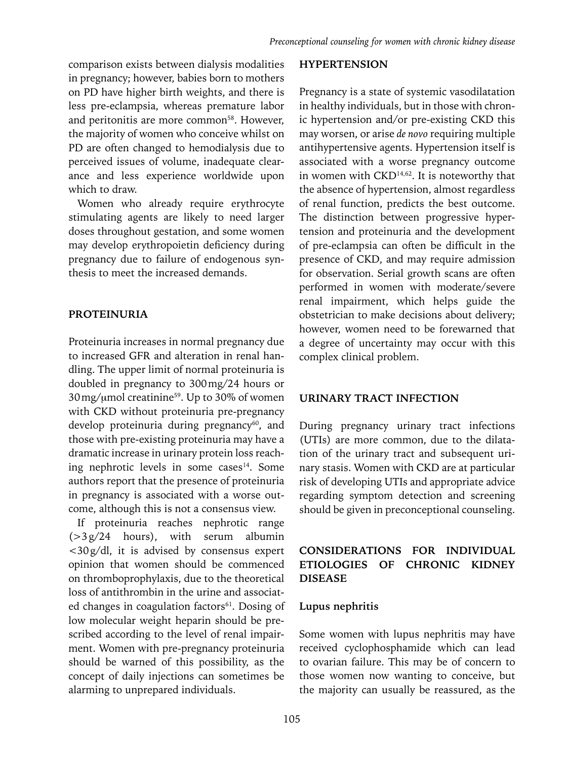comparison exists between dialysis modalities in pregnancy; however, babies born to mothers on PD have higher birth weights, and there is less pre-eclampsia, whereas premature labor and peritonitis are more common<sup>58</sup>. However, the majority of women who conceive whilst on PD are often changed to hemodialysis due to perceived issues of volume, inadequate clearance and less experience worldwide upon which to draw.

Women who already require erythrocyte stimulating agents are likely to need larger doses throughout gestation, and some women may develop erythropoietin deficiency during pregnancy due to failure of endogenous synthesis to meet the increased demands.

#### **PROTEINURIA**

Proteinuria increases in normal pregnancy due to increased GFR and alteration in renal handling. The upper limit of normal proteinuria is doubled in pregnancy to 300mg/24 hours or 30mg/µmol creatinine59. Up to 30% of women with CKD without proteinuria pre-pregnancy develop proteinuria during pregnancy<sup>60</sup>, and those with pre-existing proteinuria may have a dramatic increase in urinary protein loss reaching nephrotic levels in some cases<sup>14</sup>. Some authors report that the presence of proteinuria in pregnancy is associated with a worse outcome, although this is not a consensus view.

If proteinuria reaches nephrotic range  $(>3g/24$  hours), with serum albumin <30g/dl, it is advised by consensus expert opinion that women should be commenced on thromboprophylaxis, due to the theoretical loss of antithrombin in the urine and associated changes in coagulation factors<sup>61</sup>. Dosing of low molecular weight heparin should be prescribed according to the level of renal impairment. Women with pre-pregnancy proteinuria should be warned of this possibility, as the concept of daily injections can sometimes be alarming to unprepared individuals.

#### **HYPERTENSION**

Pregnancy is a state of systemic vasodilatation in healthy individuals, but in those with chronic hypertension and/or pre-existing CKD this may worsen, or arise *de novo* requiring multiple antihypertensive agents. Hypertension itself is associated with a worse pregnancy outcome in women with  $CKD<sup>14,62</sup>$ . It is noteworthy that the absence of hypertension, almost regardless of renal function, predicts the best outcome. The distinction between progressive hypertension and proteinuria and the development of pre-eclampsia can often be difficult in the presence of CKD, and may require admission for observation. Serial growth scans are often performed in women with moderate/severe renal impairment, which helps guide the obstetrician to make decisions about delivery; however, women need to be forewarned that a degree of uncertainty may occur with this complex clinical problem.

#### **URINARY TRACT INFECTION**

During pregnancy urinary tract infections (UTIs) are more common, due to the dilatation of the urinary tract and subsequent urinary stasis. Women with CKD are at particular risk of developing UTIs and appropriate advice regarding symptom detection and screening should be given in preconceptional counseling.

# **CONSIDERATIONS FOR INDIVIDUAL ETIOLOGIES OF CHRONIC KIDNEY DISEASE**

#### **Lupus nephritis**

Some women with lupus nephritis may have received cyclophosphamide which can lead to ovarian failure. This may be of concern to those women now wanting to conceive, but the majority can usually be reassured, as the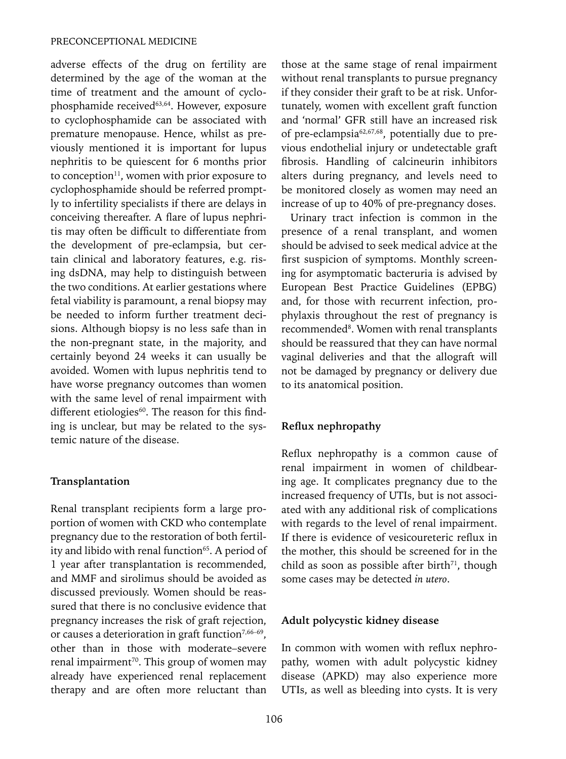adverse effects of the drug on fertility are determined by the age of the woman at the time of treatment and the amount of cyclophosphamide received<sup>63,64</sup>. However, exposure to cyclophosphamide can be associated with premature menopause. Hence, whilst as previously mentioned it is important for lupus nephritis to be quiescent for 6 months prior to conception $11$ , women with prior exposure to cyclophosphamide should be referred promptly to infertility specialists if there are delays in conceiving thereafter. A flare of lupus nephritis may often be difficult to differentiate from the development of pre-eclampsia, but certain clinical and laboratory features, e.g. rising dsDNA, may help to distinguish between the two conditions. At earlier gestations where fetal viability is paramount, a renal biopsy may be needed to inform further treatment decisions. Although biopsy is no less safe than in the non-pregnant state, in the majority, and certainly beyond 24 weeks it can usually be avoided. Women with lupus nephritis tend to have worse pregnancy outcomes than women with the same level of renal impairment with different etiologies $60$ . The reason for this finding is unclear, but may be related to the systemic nature of the disease.

#### **Transplantation**

Renal transplant recipients form a large proportion of women with CKD who contemplate pregnancy due to the restoration of both fertility and libido with renal function<sup>65</sup>. A period of 1 year after transplantation is recommended, and MMF and sirolimus should be avoided as discussed previously. Women should be reassured that there is no conclusive evidence that pregnancy increases the risk of graft rejection, or causes a deterioration in graft function<sup>7,66-69</sup>, other than in those with moderate–severe renal impairment<sup>70</sup>. This group of women may already have experienced renal replacement therapy and are often more reluctant than

those at the same stage of renal impairment without renal transplants to pursue pregnancy if they consider their graft to be at risk. Unfortunately, women with excellent graft function and 'normal' GFR still have an increased risk of pre-eclampsia62,67,68, potentially due to previous endothelial injury or undetectable graft fibrosis. Handling of calcineurin inhibitors alters during pregnancy, and levels need to be monitored closely as women may need an increase of up to 40% of pre-pregnancy doses.

Urinary tract infection is common in the presence of a renal transplant, and women should be advised to seek medical advice at the first suspicion of symptoms. Monthly screening for asymptomatic bacteruria is advised by European Best Practice Guidelines (EPBG) and, for those with recurrent infection, prophylaxis throughout the rest of pregnancy is recommended<sup>8</sup>. Women with renal transplants should be reassured that they can have normal vaginal deliveries and that the allograft will not be damaged by pregnancy or delivery due to its anatomical position.

## **Reflux nephropathy**

Reflux nephropathy is a common cause of renal impairment in women of childbearing age. It complicates pregnancy due to the increased frequency of UTIs, but is not associated with any additional risk of complications with regards to the level of renal impairment. If there is evidence of vesicoureteric reflux in the mother, this should be screened for in the child as soon as possible after birth $71$ , though some cases may be detected *in utero*.

#### **Adult polycystic kidney disease**

In common with women with reflux nephropathy, women with adult polycystic kidney disease (APKD) may also experience more UTIs, as well as bleeding into cysts. It is very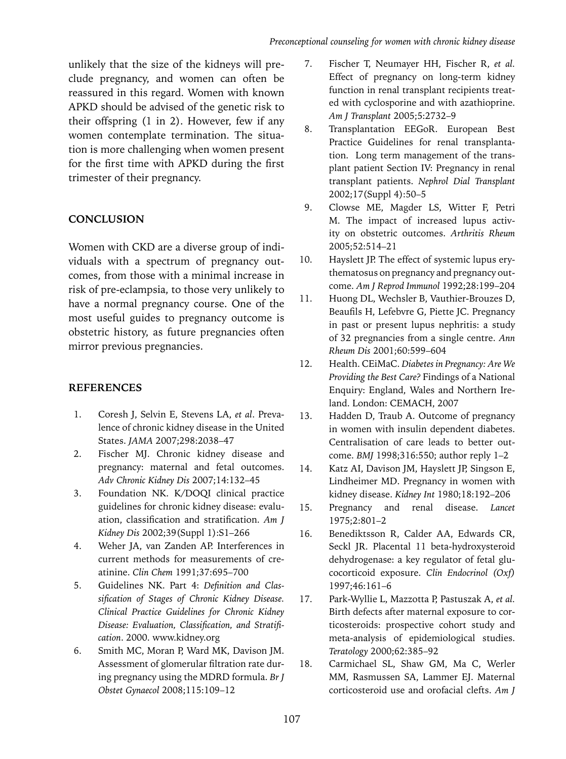unlikely that the size of the kidneys will preclude pregnancy, and women can often be reassured in this regard. Women with known APKD should be advised of the genetic risk to their offspring (1 in 2). However, few if any women contemplate termination. The situation is more challenging when women present for the first time with APKD during the first trimester of their pregnancy.

# **CONCLUSION**

Women with CKD are a diverse group of individuals with a spectrum of pregnancy outcomes, from those with a minimal increase in risk of pre-eclampsia, to those very unlikely to have a normal pregnancy course. One of the most useful guides to pregnancy outcome is obstetric history, as future pregnancies often mirror previous pregnancies.

# **References**

- 1. Coresh J, Selvin E, Stevens LA, *et al*. Prevalence of chronic kidney disease in the United States. *JAMA* 2007;298:2038–47
- 2. Fischer MJ. Chronic kidney disease and pregnancy: maternal and fetal outcomes. *Adv Chronic Kidney Dis* 2007;14:132–45
- 3. Foundation NK. K/DOQI clinical practice guidelines for chronic kidney disease: evaluation, classification and stratification. *Am J Kidney Dis* 2002;39(Suppl 1):S1–266
- 4. Weher JA, van Zanden AP. Interferences in current methods for measurements of creatinine. *Clin Chem* 1991;37:695–700
- 5. Guidelines NK. Part 4: *Definition and Classification of Stages of Chronic Kidney Disease. Clinical Practice Guidelines for Chronic Kidney Disease: Evaluation, Classification, and Stratification*. 2000. www.kidney.org
- 6. Smith MC, Moran P, Ward MK, Davison JM. Assessment of glomerular filtration rate during pregnancy using the MDRD formula. *Br J Obstet Gynaecol* 2008;115:109–12
- 7. Fischer T, Neumayer HH, Fischer R, *et al.* Effect of pregnancy on long-term kidney function in renal transplant recipients treated with cyclosporine and with azathioprine. *Am J Transplant* 2005;5:2732–9
- 8. Transplantation EEGoR. European Best Practice Guidelines for renal transplantation. Long term management of the transplant patient Section IV: Pregnancy in renal transplant patients. *Nephrol Dial Transplant*  2002;17(Suppl 4):50–5
- 9. Clowse ME, Magder LS, Witter F, Petri M. The impact of increased lupus activity on obstetric outcomes. *Arthritis Rheum*  2005;52:514–21
- 10. Hayslett JP. The effect of systemic lupus erythematosus on pregnancy and pregnancy outcome. *Am J Reprod Immunol* 1992;28:199–204
- 11. Huong DL, Wechsler B, Vauthier-Brouzes D, Beaufils H, Lefebvre G, Piette JC. Pregnancy in past or present lupus nephritis: a study of 32 pregnancies from a single centre. *Ann Rheum Dis* 2001;60:599–604
- 12. Health. CEiMaC. *Diabetes in Pregnancy: Are We Providing the Best Care?* Findings of a National Enquiry: England, Wales and Northern Ireland. London: CEMACH, 2007
- 13. Hadden D, Traub A. Outcome of pregnancy in women with insulin dependent diabetes. Centralisation of care leads to better outcome. *BMJ* 1998;316:550; author reply 1–2
- 14. Katz AI, Davison JM, Hayslett JP, Singson E, Lindheimer MD. Pregnancy in women with kidney disease. *Kidney Int* 1980;18:192–206
- 15. Pregnancy and renal disease. *Lancet* 1975;2:801–2
- 16. Benediktsson R, Calder AA, Edwards CR, Seckl JR. Placental 11 beta-hydroxysteroid dehydrogenase: a key regulator of fetal glucocorticoid exposure. *Clin Endocrinol (Oxf)* 1997;46:161–6
- 17. Park-Wyllie L, Mazzotta P, Pastuszak A, *et al.* Birth defects after maternal exposure to corticosteroids: prospective cohort study and meta-analysis of epidemiological studies. *Teratology* 2000;62:385–92
- 18. Carmichael SL, Shaw GM, Ma C, Werler MM, Rasmussen SA, Lammer EJ. Maternal corticosteroid use and orofacial clefts. *Am J*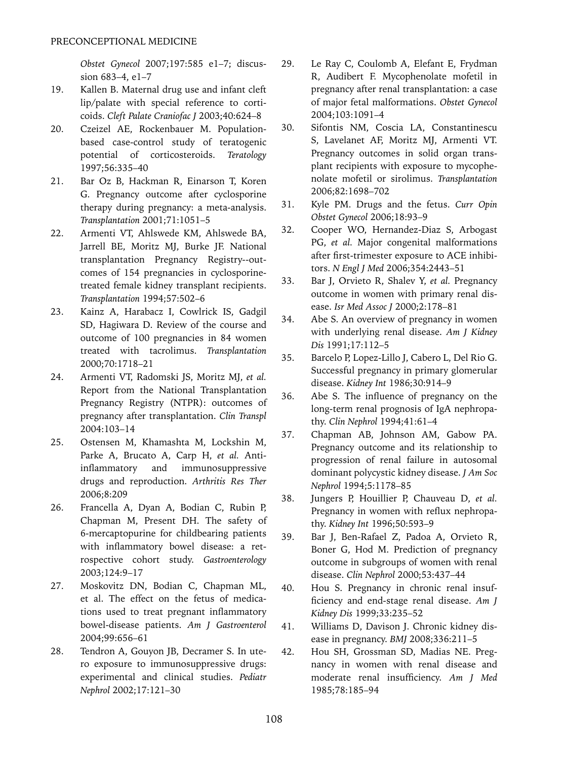*Obstet Gynecol* 2007;197:585 e1–7; discussion 683–4, e1–7

- 19. Kallen B. Maternal drug use and infant cleft lip/palate with special reference to corticoids. *Cleft Palate Craniofac J* 2003;40:624–8
- 20. Czeizel AE, Rockenbauer M. Populationbased case-control study of teratogenic potential of corticosteroids. *Teratology* 1997;56:335–40
- 21. Bar Oz B, Hackman R, Einarson T, Koren G. Pregnancy outcome after cyclosporine therapy during pregnancy: a meta-analysis. *Transplantation* 2001;71:1051–5
- 22. Armenti VT, Ahlswede KM, Ahlswede BA, Jarrell BE, Moritz MJ, Burke JF. National transplantation Pregnancy Registry--outcomes of 154 pregnancies in cyclosporinetreated female kidney transplant recipients. *Transplantation* 1994;57:502–6
- 23. Kainz A, Harabacz I, Cowlrick IS, Gadgil SD, Hagiwara D. Review of the course and outcome of 100 pregnancies in 84 women treated with tacrolimus. *Transplantation* 2000;70:1718–21
- 24. Armenti VT, Radomski JS, Moritz MJ, *et al.*  Report from the National Transplantation Pregnancy Registry (NTPR): outcomes of pregnancy after transplantation. *Clin Transpl*  2004:103–14
- 25. Ostensen M, Khamashta M, Lockshin M, Parke A, Brucato A, Carp H, *et al.* Antiinflammatory and immunosuppressive drugs and reproduction. *Arthritis Res Ther*  2006;8:209
- 26. Francella A, Dyan A, Bodian C, Rubin P, Chapman M, Present DH. The safety of 6-mercaptopurine for childbearing patients with inflammatory bowel disease: a retrospective cohort study. *Gastroenterology* 2003;124:9–17
- 27. Moskovitz DN, Bodian C, Chapman ML, et al. The effect on the fetus of medications used to treat pregnant inflammatory bowel-disease patients. *Am J Gastroenterol*  2004;99:656–61
- 28. Tendron A, Gouyon JB, Decramer S. In utero exposure to immunosuppressive drugs: experimental and clinical studies. *Pediatr Nephrol* 2002;17:121–30
- 29. Le Ray C, Coulomb A, Elefant E, Frydman R, Audibert F. Mycophenolate mofetil in pregnancy after renal transplantation: a case of major fetal malformations. *Obstet Gynecol*  2004;103:1091–4
- 30. Sifontis NM, Coscia LA, Constantinescu S, Lavelanet AF, Moritz MJ, Armenti VT. Pregnancy outcomes in solid organ transplant recipients with exposure to mycophenolate mofetil or sirolimus. *Transplantation* 2006;82:1698–702
- 31. Kyle PM. Drugs and the fetus. *Curr Opin Obstet Gynecol* 2006;18:93–9
- 32. Cooper WO, Hernandez-Diaz S, Arbogast PG, *et al.* Major congenital malformations after first-trimester exposure to ACE inhibitors. *N Engl J Med* 2006;354:2443–51
- 33. Bar J, Orvieto R, Shalev Y, *et al.* Pregnancy outcome in women with primary renal disease. *Isr Med Assoc J* 2000;2:178–81
- 34. Abe S. An overview of pregnancy in women with underlying renal disease. *Am J Kidney Dis* 1991;17:112–5
- 35. Barcelo P, Lopez-Lillo J, Cabero L, Del Rio G. Successful pregnancy in primary glomerular disease. *Kidney Int* 1986;30:914–9
- 36. Abe S. The influence of pregnancy on the long-term renal prognosis of IgA nephropathy. *Clin Nephrol* 1994;41:61–4
- 37. Chapman AB, Johnson AM, Gabow PA. Pregnancy outcome and its relationship to progression of renal failure in autosomal dominant polycystic kidney disease. *J Am Soc Nephrol* 1994;5:1178–85
- 38. Jungers P, Houillier P, Chauveau D, *et al.*  Pregnancy in women with reflux nephropathy. *Kidney Int* 1996;50:593–9
- 39. Bar J, Ben-Rafael Z, Padoa A, Orvieto R, Boner G, Hod M. Prediction of pregnancy outcome in subgroups of women with renal disease. *Clin Nephrol* 2000;53:437–44
- 40. Hou S. Pregnancy in chronic renal insufficiency and end-stage renal disease. *Am J Kidney Dis* 1999;33:235–52
- 41. Williams D, Davison J. Chronic kidney disease in pregnancy. *BMJ* 2008;336:211–5
- 42. Hou SH, Grossman SD, Madias NE. Pregnancy in women with renal disease and moderate renal insufficiency. *Am J Med*  1985;78:185–94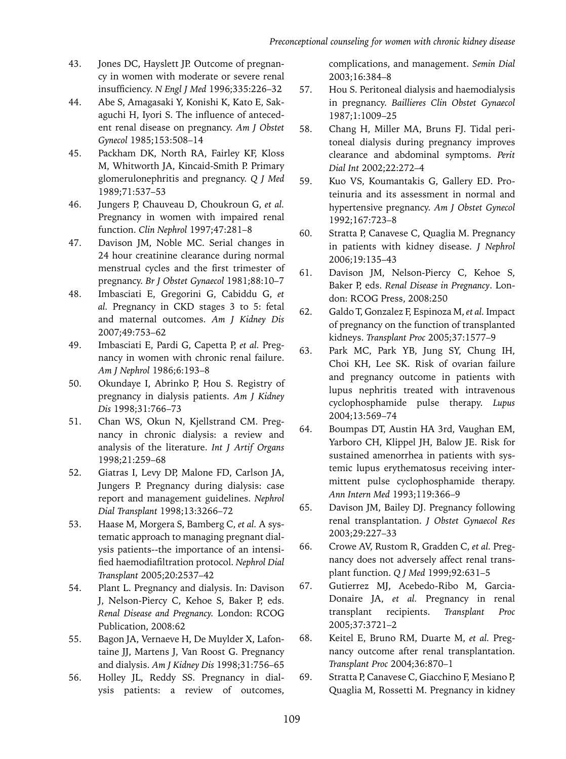- 43. Jones DC, Hayslett JP. Outcome of pregnancy in women with moderate or severe renal insufficiency. *N Engl J Med* 1996;335:226–32
- 44. Abe S, Amagasaki Y, Konishi K, Kato E, Sakaguchi H, Iyori S. The influence of antecedent renal disease on pregnancy. *Am J Obstet Gynecol* 1985;153:508–14
- 45. Packham DK, North RA, Fairley KF, Kloss M, Whitworth JA, Kincaid-Smith P. Primary glomerulonephritis and pregnancy. *Q J Med*  1989;71:537–53
- 46. Jungers P, Chauveau D, Choukroun G, *et al.*  Pregnancy in women with impaired renal function. *Clin Nephrol* 1997;47:281–8
- 47. Davison JM, Noble MC. Serial changes in 24 hour creatinine clearance during normal menstrual cycles and the first trimester of pregnancy. *Br J Obstet Gynaecol* 1981;88:10–7
- 48. Imbasciati E, Gregorini G, Cabiddu G, *et al.* Pregnancy in CKD stages 3 to 5: fetal and maternal outcomes. *Am J Kidney Dis* 2007;49:753–62
- 49. Imbasciati E, Pardi G, Capetta P, *et al.* Pregnancy in women with chronic renal failure. *Am J Nephrol* 1986;6:193–8
- 50. Okundaye I, Abrinko P, Hou S. Registry of pregnancy in dialysis patients. *Am J Kidney Dis* 1998;31:766–73
- 51. Chan WS, Okun N, Kjellstrand CM. Pregnancy in chronic dialysis: a review and analysis of the literature. *Int J Artif Organs*  1998;21:259–68
- 52. Giatras I, Levy DP, Malone FD, Carlson JA, Jungers P. Pregnancy during dialysis: case report and management guidelines. *Nephrol Dial Transplant* 1998;13:3266–72
- 53. Haase M, Morgera S, Bamberg C, *et al.* A systematic approach to managing pregnant dialysis patients--the importance of an intensified haemodiafiltration protocol. *Nephrol Dial Transplant* 2005;20:2537–42
- 54. Plant L. Pregnancy and dialysis. In: Davison J, Nelson-Piercy C, Kehoe S, Baker P, eds. *Renal Disease and Pregnancy.* London: RCOG Publication, 2008:62
- 55. Bagon JA, Vernaeve H, De Muylder X, Lafontaine JJ, Martens J, Van Roost G. Pregnancy and dialysis. *Am J Kidney Dis* 1998;31:756–65
- 56. Holley JL, Reddy SS. Pregnancy in dialysis patients: a review of outcomes,

complications, and management. *Semin Dial*  2003;16:384–8

- 57. Hou S. Peritoneal dialysis and haemodialysis in pregnancy. *Baillieres Clin Obstet Gynaecol*  1987;1:1009–25
- 58. Chang H, Miller MA, Bruns FJ. Tidal peritoneal dialysis during pregnancy improves clearance and abdominal symptoms. *Perit Dial Int* 2002;22:272–4
- 59. Kuo VS, Koumantakis G, Gallery ED. Proteinuria and its assessment in normal and hypertensive pregnancy. *Am J Obstet Gynecol* 1992;167:723–8
- 60. Stratta P, Canavese C, Quaglia M. Pregnancy in patients with kidney disease. *J Nephrol*  2006;19:135–43
- 61. Davison JM, Nelson-Piercy C, Kehoe S, Baker P, eds. *Renal Disease in Pregnancy*. London: RCOG Press, 2008:250
- 62. Galdo T, Gonzalez F, Espinoza M, *et al.* Impact of pregnancy on the function of transplanted kidneys. *Transplant Proc* 2005;37:1577–9
- 63. Park MC, Park YB, Jung SY, Chung IH, Choi KH, Lee SK. Risk of ovarian failure and pregnancy outcome in patients with lupus nephritis treated with intravenous cyclophosphamide pulse therapy. *Lupus* 2004;13:569–74
- 64. Boumpas DT, Austin HA 3rd, Vaughan EM, Yarboro CH, Klippel JH, Balow JE. Risk for sustained amenorrhea in patients with systemic lupus erythematosus receiving intermittent pulse cyclophosphamide therapy. *Ann Intern Med* 1993;119:366–9
- 65. Davison JM, Bailey DJ. Pregnancy following renal transplantation. *J Obstet Gynaecol Res* 2003;29:227–33
- 66. Crowe AV, Rustom R, Gradden C, *et al.* Pregnancy does not adversely affect renal transplant function. *Q J Med* 1999;92:631–5
- 67. Gutierrez MJ, Acebedo-Ribo M, Garcia-Donaire JA, *et al.* Pregnancy in renal transplant recipients. *Transplant Proc*  2005;37:3721–2
- 68. Keitel E, Bruno RM, Duarte M, *et al.* Pregnancy outcome after renal transplantation. *Transplant Proc* 2004;36:870–1
- 69. Stratta P, Canavese C, Giacchino F, Mesiano P, Quaglia M, Rossetti M. Pregnancy in kidney